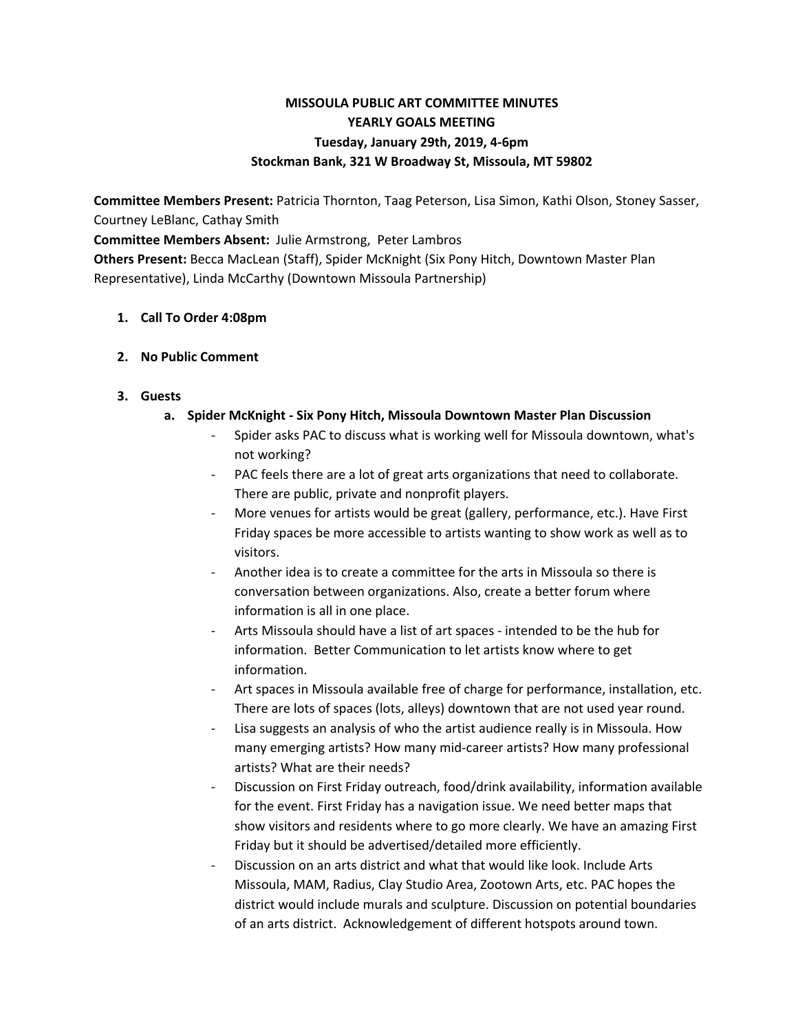# **MISSOULA PUBLIC ART COMMITTEE MINUTES YEARLY GOALS MEETING Tuesday, January 29th, 2019, 4-6pm Stockman Bank, 321 W Broadway St, Missoula, MT 59802**

**Committee Members Present:** Patricia Thornton, Taag Peterson, Lisa Simon, Kathi Olson, Stoney Sasser, Courtney LeBlanc, Cathay Smith

**Committee Members Absent:** Julie Armstrong, Peter Lambros

**Others Present:** Becca MacLean (Staff), Spider McKnight (Six Pony Hitch, Downtown Master Plan Representative), Linda McCarthy (Downtown Missoula Partnership)

## **1. Call To Order 4:08pm**

## **2. No Public Comment**

## **3. Guests**

## **a. Spider McKnight - Six Pony Hitch, Missoula Downtown Master Plan Discussion**

- Spider asks PAC to discuss what is working well for Missoula downtown, what's not working?
- PAC feels there are a lot of great arts organizations that need to collaborate. There are public, private and nonprofit players.
- More venues for artists would be great (gallery, performance, etc.). Have First Friday spaces be more accessible to artists wanting to show work as well as to visitors.
- Another idea is to create a committee for the arts in Missoula so there is conversation between organizations. Also, create a better forum where information is all in one place.
- Arts Missoula should have a list of art spaces intended to be the hub for information. Better Communication to let artists know where to get information.
- Art spaces in Missoula available free of charge for performance, installation, etc. There are lots of spaces (lots, alleys) downtown that are not used year round.
- Lisa suggests an analysis of who the artist audience really is in Missoula. How many emerging artists? How many mid-career artists? How many professional artists? What are their needs?
- Discussion on First Friday outreach, food/drink availability, information available for the event. First Friday has a navigation issue. We need better maps that show visitors and residents where to go more clearly. We have an amazing First Friday but it should be advertised/detailed more efficiently.
- Discussion on an arts district and what that would like look. Include Arts Missoula, MAM, Radius, Clay Studio Area, Zootown Arts, etc. PAC hopes the district would include murals and sculpture. Discussion on potential boundaries of an arts district. Acknowledgement of different hotspots around town.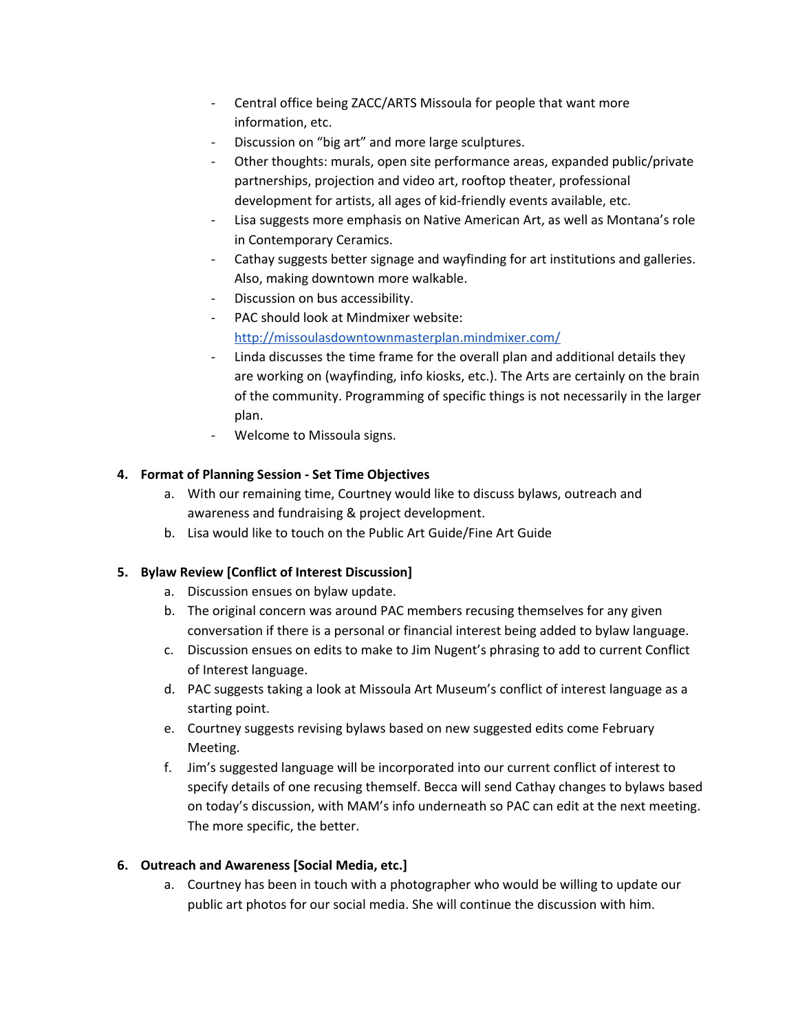- Central office being ZACC/ARTS Missoula for people that want more information, etc.
- Discussion on "big art" and more large sculptures.
- Other thoughts: murals, open site performance areas, expanded public/private partnerships, projection and video art, rooftop theater, professional development for artists, all ages of kid-friendly events available, etc.
- Lisa suggests more emphasis on Native American Art, as well as Montana's role in Contemporary Ceramics.
- Cathay suggests better signage and wayfinding for art institutions and galleries. Also, making downtown more walkable.
- Discussion on bus accessibility.
- PAC should look at Mindmixer website: <http://missoulasdowntownmasterplan.mindmixer.com/>
- Linda discusses the time frame for the overall plan and additional details they are working on (wayfinding, info kiosks, etc.). The Arts are certainly on the brain of the community. Programming of specific things is not necessarily in the larger plan.
- Welcome to Missoula signs.

## **4. Format of Planning Session - Set Time Objectives**

- a. With our remaining time, Courtney would like to discuss bylaws, outreach and awareness and fundraising & project development.
- b. Lisa would like to touch on the Public Art Guide/Fine Art Guide

## **5. Bylaw Review [Conflict of Interest Discussion]**

- a. Discussion ensues on bylaw update.
- b. The original concern was around PAC members recusing themselves for any given conversation if there is a personal or financial interest being added to bylaw language.
- c. Discussion ensues on edits to make to Jim Nugent's phrasing to add to current Conflict of Interest language.
- d. PAC suggests taking a look at Missoula Art Museum's conflict of interest language as a starting point.
- e. Courtney suggests revising bylaws based on new suggested edits come February Meeting.
- f. Jim's suggested language will be incorporated into our current conflict of interest to specify details of one recusing themself. Becca will send Cathay changes to bylaws based on today's discussion, with MAM's info underneath so PAC can edit at the next meeting. The more specific, the better.

## **6. Outreach and Awareness [Social Media, etc.]**

a. Courtney has been in touch with a photographer who would be willing to update our public art photos for our social media. She will continue the discussion with him.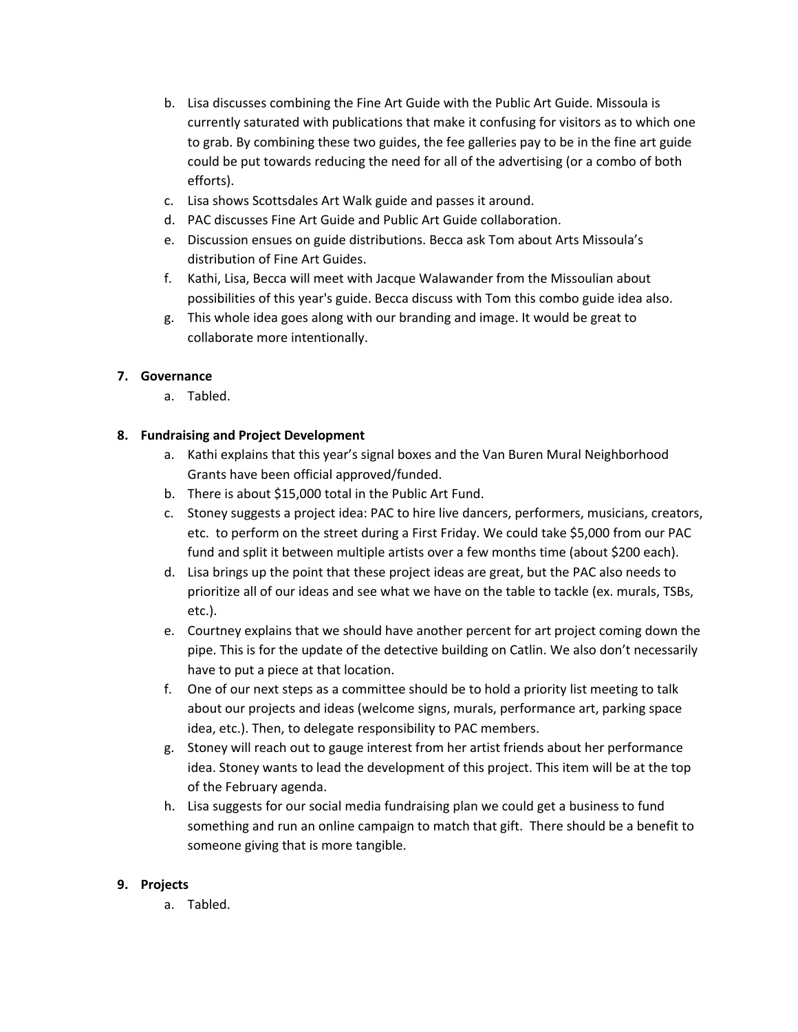- b. Lisa discusses combining the Fine Art Guide with the Public Art Guide. Missoula is currently saturated with publications that make it confusing for visitors as to which one to grab. By combining these two guides, the fee galleries pay to be in the fine art guide could be put towards reducing the need for all of the advertising (or a combo of both efforts).
- c. Lisa shows Scottsdales Art Walk guide and passes it around.
- d. PAC discusses Fine Art Guide and Public Art Guide collaboration.
- e. Discussion ensues on guide distributions. Becca ask Tom about Arts Missoula's distribution of Fine Art Guides.
- f. Kathi, Lisa, Becca will meet with Jacque Walawander from the Missoulian about possibilities of this year's guide. Becca discuss with Tom this combo guide idea also.
- g. This whole idea goes along with our branding and image. It would be great to collaborate more intentionally.

## **7. Governance**

a. Tabled.

## **8. Fundraising and Project Development**

- a. Kathi explains that this year's signal boxes and the Van Buren Mural Neighborhood Grants have been official approved/funded.
- b. There is about \$15,000 total in the Public Art Fund.
- c. Stoney suggests a project idea: PAC to hire live dancers, performers, musicians, creators, etc. to perform on the street during a First Friday. We could take \$5,000 from our PAC fund and split it between multiple artists over a few months time (about \$200 each).
- d. Lisa brings up the point that these project ideas are great, but the PAC also needs to prioritize all of our ideas and see what we have on the table to tackle (ex. murals, TSBs, etc.).
- e. Courtney explains that we should have another percent for art project coming down the pipe. This is for the update of the detective building on Catlin. We also don't necessarily have to put a piece at that location.
- f. One of our next steps as a committee should be to hold a priority list meeting to talk about our projects and ideas (welcome signs, murals, performance art, parking space idea, etc.). Then, to delegate responsibility to PAC members.
- g. Stoney will reach out to gauge interest from her artist friends about her performance idea. Stoney wants to lead the development of this project. This item will be at the top of the February agenda.
- h. Lisa suggests for our social media fundraising plan we could get a business to fund something and run an online campaign to match that gift. There should be a benefit to someone giving that is more tangible.

## **9. Projects**

a. Tabled.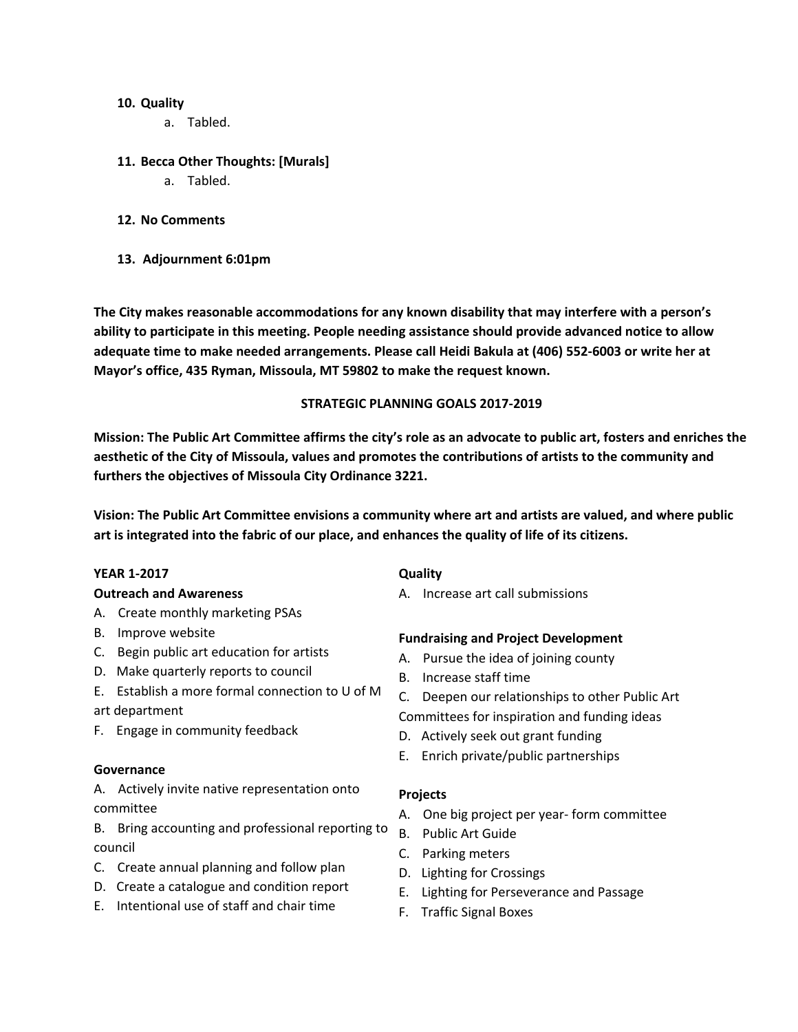### **10. Quality**

a. Tabled.

### **11. Becca Other Thoughts: [Murals]**

- a. Tabled.
- **12. No Comments**
- **13. Adjournment 6:01pm**

**The City makes reasonable accommodations for any known disability that may interfere with a person's ability to participate in this meeting. People needing assistance should provide advanced notice to allow adequate time to make needed arrangements. Please call Heidi Bakula at (406) 552-6003 or write her at Mayor's office, 435 Ryman, Missoula, MT 59802 to make the request known.**

#### **STRATEGIC PLANNING GOALS 2017-2019**

Mission: The Public Art Committee affirms the city's role as an advocate to public art, fosters and enriches the **aesthetic of the City of Missoula, values and promotes the contributions of artists to the community and furthers the objectives of Missoula City Ordinance 3221.**

**Vision: The Public Art Committee envisions a community where art and artists are valued, and where public art is integrated into the fabric of our place, and enhances the quality of life of its citizens.**

#### **YEAR 1-2017**

#### **Outreach and Awareness**

- A. Create monthly marketing PSAs
- B. Improve website
- C. Begin public art education for artists
- D. Make quarterly reports to council
- E. Establish a more formal connection to U of M art department
- F. Engage in community feedback

#### **Governance**

A. Actively invite native representation onto committee

- B. Bring accounting and professional reporting to council
- C. Create annual planning and follow plan
- D. Create a catalogue and condition report
- E. Intentional use of staff and chair time

### **Quality**

A. Increase art call submissions

### **Fundraising and Project Development**

- A. Pursue the idea of joining county
- B. Increase staff time
- C. Deepen our relationships to other Public Art
- Committees for inspiration and funding ideas
- D. Actively seek out grant funding
- E. Enrich private/public partnerships

#### **Projects**

- A. One big project per year- form committee
- B. Public Art Guide
- C. Parking meters
- D. Lighting for Crossings
- E. Lighting for Perseverance and Passage
- F. Traffic Signal Boxes